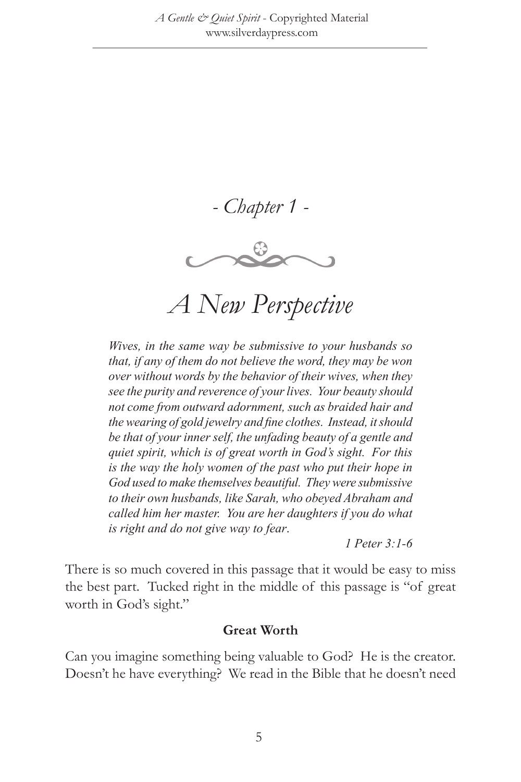

*Wives, in the same way be submissive to your husbands so that, if any of them do not believe the word, they may be won over without words by the behavior of their wives, when they see the purity and reverence of your lives. Your beauty should not come from outward adornment, such as braided hair and the wearing of gold jewelry and fine clothes. Instead, it should be that of your inner self, the unfading beauty of a gentle and quiet spirit, which is of great worth in God's sight. For this is the way the holy women of the past who put their hope in God used to make themselves beautiful. They were submissive to their own husbands, like Sarah, who obeyed Abraham and called him her master. You are her daughters if you do what is right and do not give way to fear*.

*1 Peter 3:1-6*

There is so much covered in this passage that it would be easy to miss the best part. Tucked right in the middle of this passage is "of great worth in God's sight."

#### **Great Worth**

Can you imagine something being valuable to God? He is the creator. Doesn't he have everything? We read in the Bible that he doesn't need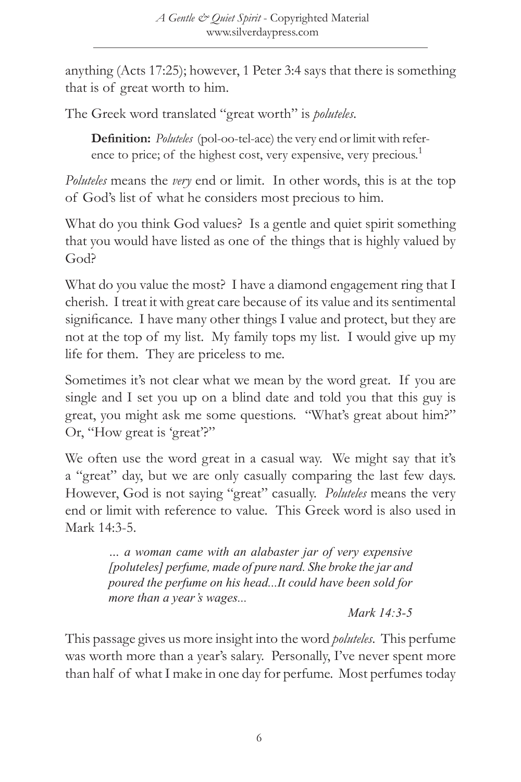anything (Acts 17:25); however, 1 Peter 3:4 says that there is something that is of great worth to him.

The Greek word translated "great worth" is *poluteles*.

**Definition:** *Poluteles* (pol-oo-tel-ace) the very end or limit with reference to price; of the highest cost, very expensive, very precious.<sup>1</sup>

*Poluteles* means the *very* end or limit. In other words, this is at the top of God's list of what he considers most precious to him.

What do you think God values? Is a gentle and quiet spirit something that you would have listed as one of the things that is highly valued by God?

What do you value the most? I have a diamond engagement ring that I cherish. I treat it with great care because of its value and its sentimental significance. I have many other things I value and protect, but they are not at the top of my list. My family tops my list. I would give up my life for them. They are priceless to me.

Sometimes it's not clear what we mean by the word great. If you are single and I set you up on a blind date and told you that this guy is great, you might ask me some questions. "What's great about him?" Or, "How great is 'great'?"

We often use the word great in a casual way. We might say that it's a "great" day, but we are only casually comparing the last few days. However, God is not saying "great" casually. *Poluteles* means the very end or limit with reference to value. This Greek word is also used in Mark 14:3-5.

> *… a woman came with an alabaster jar of very expensive [poluteles] perfume, made of pure nard. She broke the jar and poured the perfume on his head...It could have been sold for more than a year's wages...*

*Mark 14:3-5*

This passage gives us more insight into the word *poluteles*. This perfume was worth more than a year's salary. Personally, I've never spent more than half of what I make in one day for perfume. Most perfumes today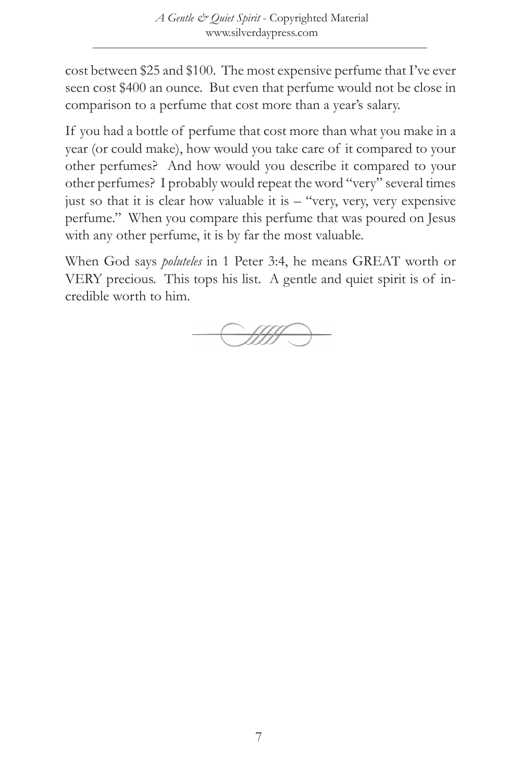cost between \$25 and \$100. The most expensive perfume that I've ever seen cost \$400 an ounce. But even that perfume would not be close in comparison to a perfume that cost more than a year's salary.

If you had a bottle of perfume that cost more than what you make in a year (or could make), how would you take care of it compared to your other perfumes? And how would you describe it compared to your other perfumes? I probably would repeat the word "very" several times just so that it is clear how valuable it is – "very, very, very expensive perfume." When you compare this perfume that was poured on Jesus with any other perfume, it is by far the most valuable.

When God says *poluteles* in 1 Peter 3:4, he means GREAT worth or VERY precious. This tops his list. A gentle and quiet spirit is of incredible worth to him.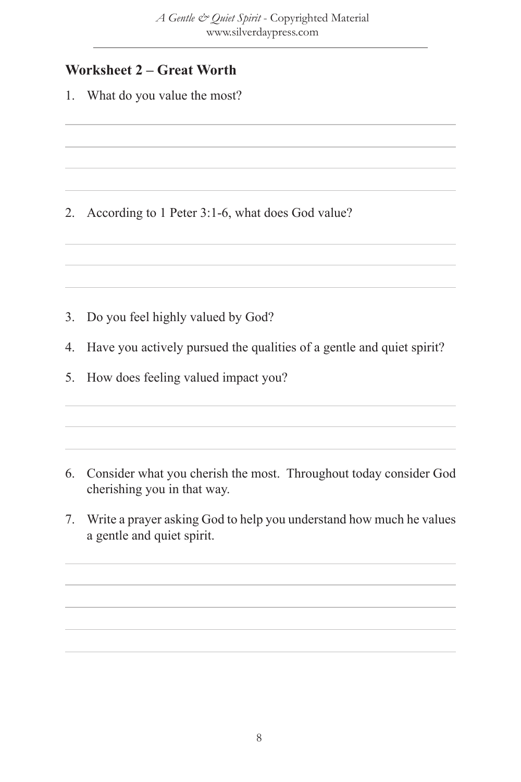## **Worksheet 2 – Great Worth**

1. What do you value the most?

2. According to 1 Peter 3:1-6, what does God value?

- 3. Do you feel highly valued by God?
- 4. Have you actively pursued the qualities of a gentle and quiet spirit?
- 5. How does feeling valued impact you?

- 6. Consider what you cherish the most. Throughout today consider God cherishing you in that way.
- 7. Write a prayer asking God to help you understand how much he values a gentle and quiet spirit.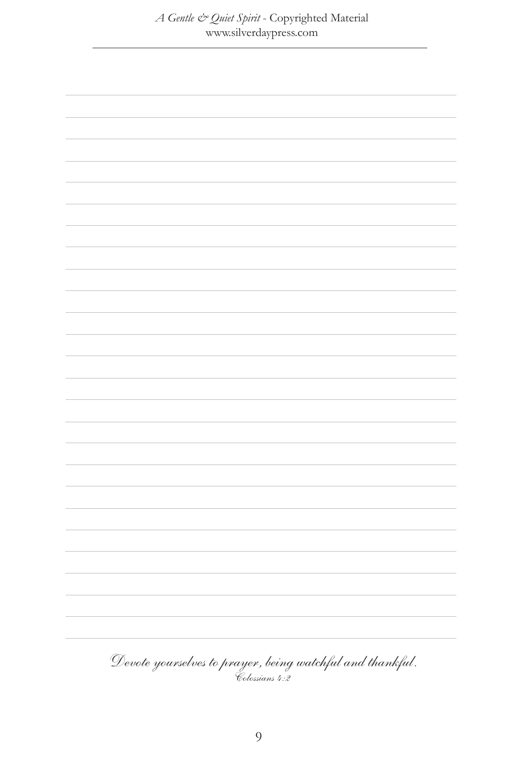

*Devote yourselves to prayer, being watchful and thankful. Colossians 4:2*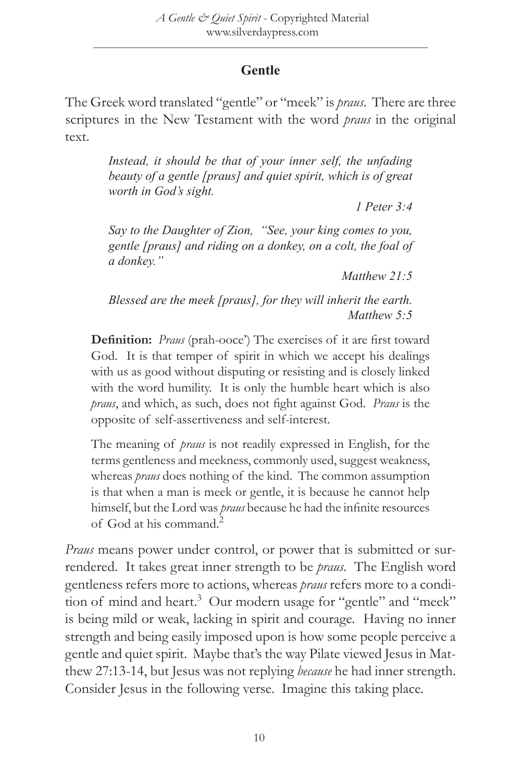### **Gentle**

The Greek word translated "gentle" or "meek" is *praus*. There are three scriptures in the New Testament with the word *praus* in the original text.

> *Instead, it should be that of your inner self, the unfading beauty of a gentle [praus] and quiet spirit, which is of great worth in God's sight.*

*1 Peter 3:4*

*Say to the Daughter of Zion, "See, your king comes to you, gentle [praus] and riding on a donkey, on a colt, the foal of a donkey."* 

*Matthew 21:5*

*Blessed are the meek [praus], for they will inherit the earth. Matthew 5:5*

**Definition:** *Praus* (prah-ooce') The exercises of it are first toward God. It is that temper of spirit in which we accept his dealings with us as good without disputing or resisting and is closely linked with the word humility. It is only the humble heart which is also *praus*, and which, as such, does not fight against God. *Praus* is the opposite of self-assertiveness and self-interest.

The meaning of *praus* is not readily expressed in English, for the terms gentleness and meekness, commonly used, suggest weakness, whereas *praus* does nothing of the kind. The common assumption is that when a man is meek or gentle, it is because he cannot help himself, but the Lord was *praus* because he had the infinite resources of God at his command.<sup>2</sup>

*Praus* means power under control, or power that is submitted or surrendered. It takes great inner strength to be *praus*. The English word gentleness refers more to actions, whereas *praus* refers more to a condition of mind and heart.<sup>3</sup> Our modern usage for "gentle" and "meek" is being mild or weak, lacking in spirit and courage. Having no inner strength and being easily imposed upon is how some people perceive a gentle and quiet spirit. Maybe that's the way Pilate viewed Jesus in Matthew 27:13-14, but Jesus was not replying *because* he had inner strength. Consider Jesus in the following verse. Imagine this taking place.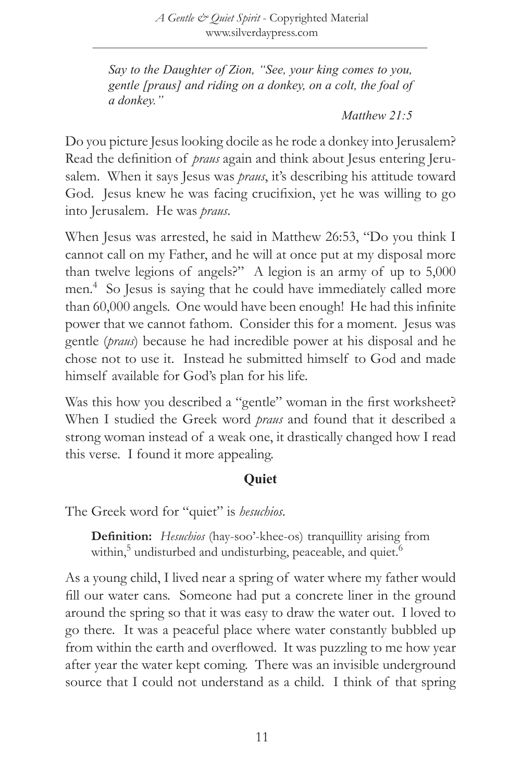*A Gentle & Quiet Spirit* - Copyrighted Material www.silverdaypress.com

*Say to the Daughter of Zion, "See, your king comes to you, gentle [praus] and riding on a donkey, on a colt, the foal of a donkey."*

*Matthew 21:5*

Do you picture Jesus looking docile as he rode a donkey into Jerusalem? Read the definition of *praus* again and think about Jesus entering Jerusalem. When it says Jesus was *praus*, it's describing his attitude toward God. Jesus knew he was facing crucifixion, yet he was willing to go into Jerusalem. He was *praus*.

When Jesus was arrested, he said in Matthew 26:53, "Do you think I cannot call on my Father, and he will at once put at my disposal more than twelve legions of angels?" A legion is an army of up to 5,000 men.4 So Jesus is saying that he could have immediately called more than 60,000 angels. One would have been enough! He had this infinite power that we cannot fathom. Consider this for a moment. Jesus was gentle (*praus*) because he had incredible power at his disposal and he chose not to use it. Instead he submitted himself to God and made himself available for God's plan for his life.

Was this how you described a "gentle" woman in the first worksheet? When I studied the Greek word *praus* and found that it described a strong woman instead of a weak one, it drastically changed how I read this verse. I found it more appealing.

#### **Quiet**

The Greek word for "quiet" is *hesuchios*.

**Definition:** *Hesuchios* (hay-soo'-khee-os) tranquillity arising from within,<sup>5</sup> undisturbed and undisturbing, peaceable, and quiet.<sup>6</sup>

As a young child, I lived near a spring of water where my father would fill our water cans. Someone had put a concrete liner in the ground around the spring so that it was easy to draw the water out. I loved to go there. It was a peaceful place where water constantly bubbled up from within the earth and overflowed. It was puzzling to me how year after year the water kept coming. There was an invisible underground source that I could not understand as a child. I think of that spring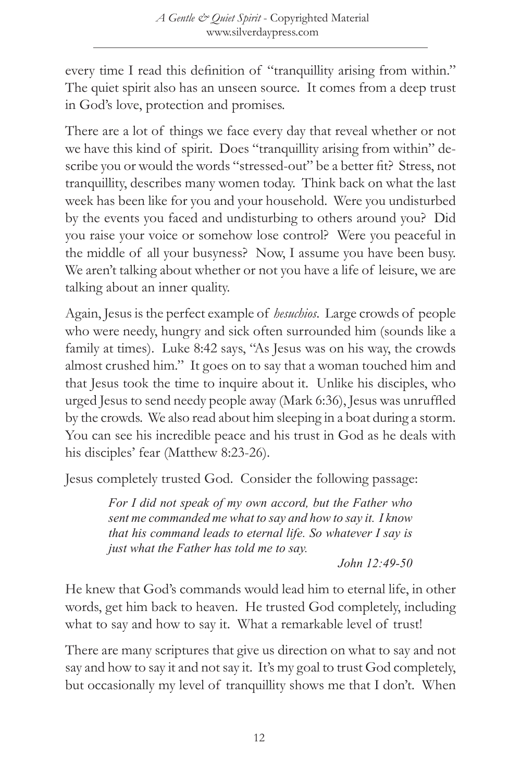every time I read this definition of "tranquillity arising from within." The quiet spirit also has an unseen source. It comes from a deep trust in God's love, protection and promises.

There are a lot of things we face every day that reveal whether or not we have this kind of spirit. Does "tranquillity arising from within" describe you or would the words "stressed-out" be a better fit? Stress, not tranquillity, describes many women today. Think back on what the last week has been like for you and your household. Were you undisturbed by the events you faced and undisturbing to others around you? Did you raise your voice or somehow lose control? Were you peaceful in the middle of all your busyness? Now, I assume you have been busy. We aren't talking about whether or not you have a life of leisure, we are talking about an inner quality.

Again, Jesus is the perfect example of *hesuchios*. Large crowds of people who were needy, hungry and sick often surrounded him (sounds like a family at times). Luke 8:42 says, "As Jesus was on his way, the crowds almost crushed him." It goes on to say that a woman touched him and that Jesus took the time to inquire about it. Unlike his disciples, who urged Jesus to send needy people away (Mark 6:36), Jesus was unruffled by the crowds. We also read about him sleeping in a boat during a storm. You can see his incredible peace and his trust in God as he deals with his disciples' fear (Matthew 8:23-26).

Jesus completely trusted God. Consider the following passage:

*For I did not speak of my own accord, but the Father who sent me commanded me what to say and how to say it. I know that his command leads to eternal life. So whatever I say is just what the Father has told me to say.*

*John 12:49-50*

He knew that God's commands would lead him to eternal life, in other words, get him back to heaven. He trusted God completely, including what to say and how to say it. What a remarkable level of trust!

There are many scriptures that give us direction on what to say and not say and how to say it and not say it. It's my goal to trust God completely, but occasionally my level of tranquillity shows me that I don't. When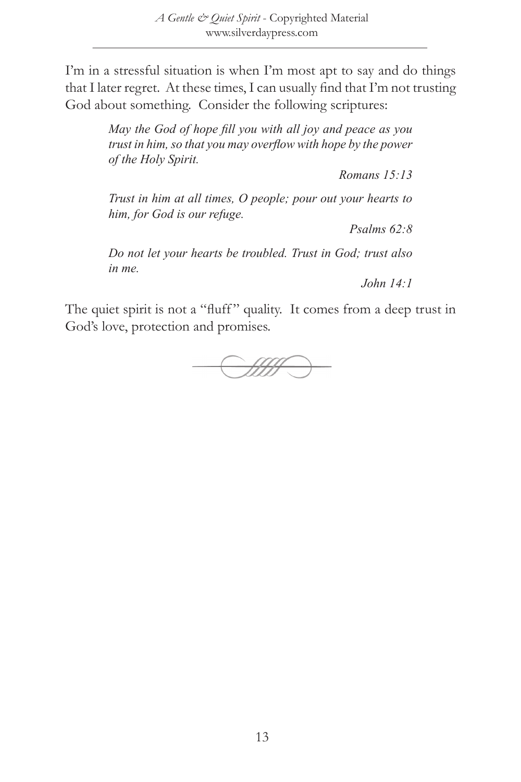I'm in a stressful situation is when I'm most apt to say and do things that I later regret. At these times, I can usually find that I'm not trusting God about something. Consider the following scriptures:

> *May the God of hope fill you with all joy and peace as you trust in him, so that you may overflow with hope by the power of the Holy Spirit.*

> > *Romans 15:13*

*Trust in him at all times, O people; pour out your hearts to him, for God is our refuge.* 

*Psalms 62:8*

*Do not let your hearts be troubled. Trust in God; trust also in me.* 

*John 14:1*

The quiet spirit is not a "fluff" quality. It comes from a deep trust in God's love, protection and promises.

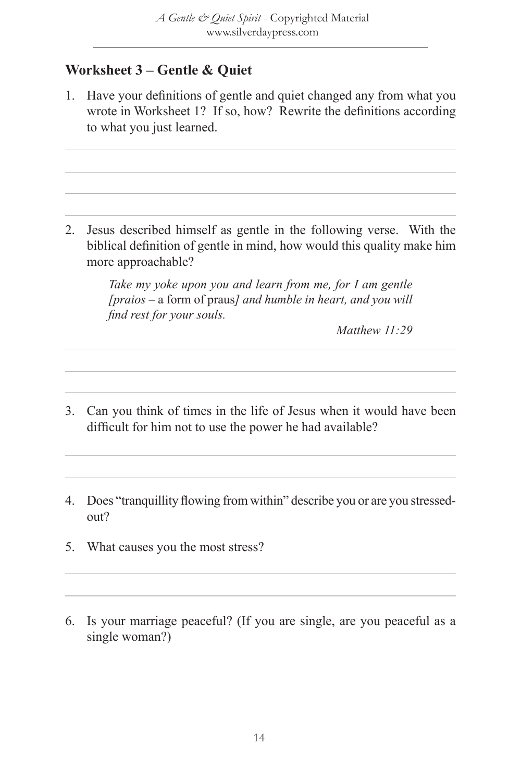# **Worksheet 3 – Gentle & Quiet**

1. Have your definitions of gentle and quiet changed any from what you wrote in Worksheet 1? If so, how? Rewrite the definitions according to what you just learned.

2. Jesus described himself as gentle in the following verse. With the biblical definition of gentle in mind, how would this quality make him more approachable?

> Take my yoke upon you and learn from me, for I am gentle *[praios –* a form of praus*] and humble in heart, and you will find rest for your souls.*

*Matthew 11:29*

- 3. Can you think of times in the life of Jesus when it would have been difficult for him not to use the power he had available?
- 4. Does "tranquillity flowing from within" describe you or are you stressedout?
- 5. What causes you the most stress?
- 6. Is your marriage peaceful? (If you are single, are you peaceful as a single woman?)